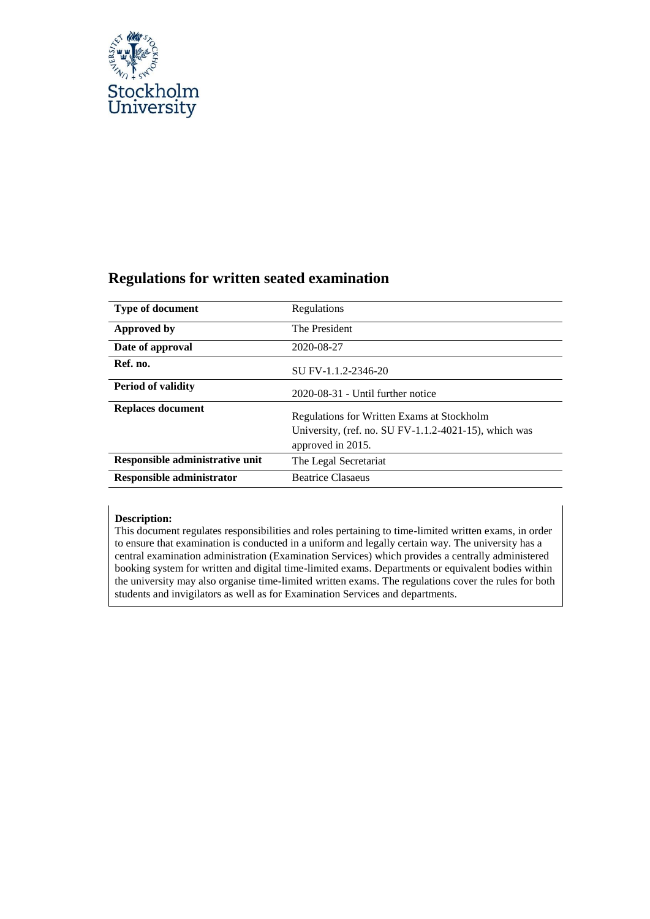

# <span id="page-0-0"></span>**Regulations for written seated examination**

| <b>Type of document</b>          | Regulations                                                                                                                 |
|----------------------------------|-----------------------------------------------------------------------------------------------------------------------------|
| Approved by                      | The President                                                                                                               |
| Date of approval                 | 2020-08-27                                                                                                                  |
| Ref. no.                         | SU FV-1.1.2-2346-20                                                                                                         |
| <b>Period of validity</b>        | $2020-08-31$ - Until further notice                                                                                         |
| <b>Replaces document</b>         | Regulations for Written Exams at Stockholm<br>University, (ref. no. $SU FV-1.1.2-4021-15$ ), which was<br>approved in 2015. |
| Responsible administrative unit  | The Legal Secretariat                                                                                                       |
| <b>Responsible administrator</b> | <b>Beatrice Clasaeus</b>                                                                                                    |

#### **Description:**

This document regulates responsibilities and roles pertaining to time-limited written exams, in order to ensure that examination is conducted in a uniform and legally certain way. The university has a central examination administration (Examination Services) which provides a centrally administered booking system for written and digital time-limited exams. Departments or equivalent bodies within the university may also organise time-limited written exams. The regulations cover the rules for both students and invigilators as well as for Examination Services and departments.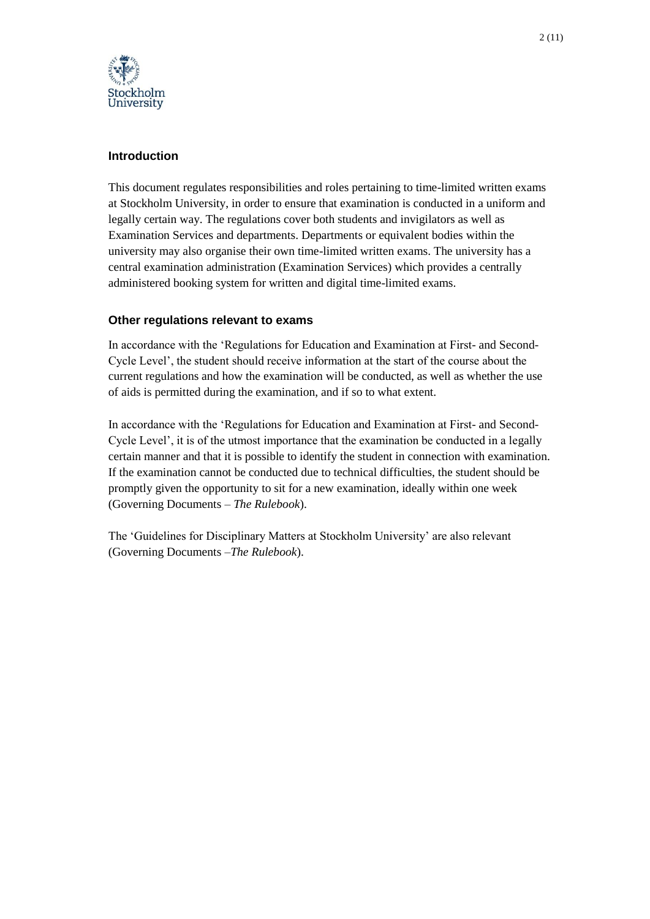

# <span id="page-1-0"></span>**Introduction**

This document regulates responsibilities and roles pertaining to time-limited written exams at Stockholm University, in order to ensure that examination is conducted in a uniform and legally certain way. The regulations cover both students and invigilators as well as Examination Services and departments. Departments or equivalent bodies within the university may also organise their own time-limited written exams. The university has a central examination administration (Examination Services) which provides a centrally administered booking system for written and digital time-limited exams.

## <span id="page-1-1"></span>**Other regulations relevant to exams**

In accordance with the 'Regulations for Education and Examination at First- and Second-Cycle Level', the student should receive information at the start of the course about the current regulations and how the examination will be conducted, as well as whether the use of aids is permitted during the examination, and if so to what extent.

In accordance with the 'Regulations for Education and Examination at First- and Second-Cycle Level', it is of the utmost importance that the examination be conducted in a legally certain manner and that it is possible to identify the student in connection with examination. If the examination cannot be conducted due to technical difficulties, the student should be promptly given the opportunity to sit for a new examination, ideally within one week (Governing Documents – *The Rulebook*).

The 'Guidelines for Disciplinary Matters at Stockholm University' are also relevant (Governing Documents –*The Rulebook*).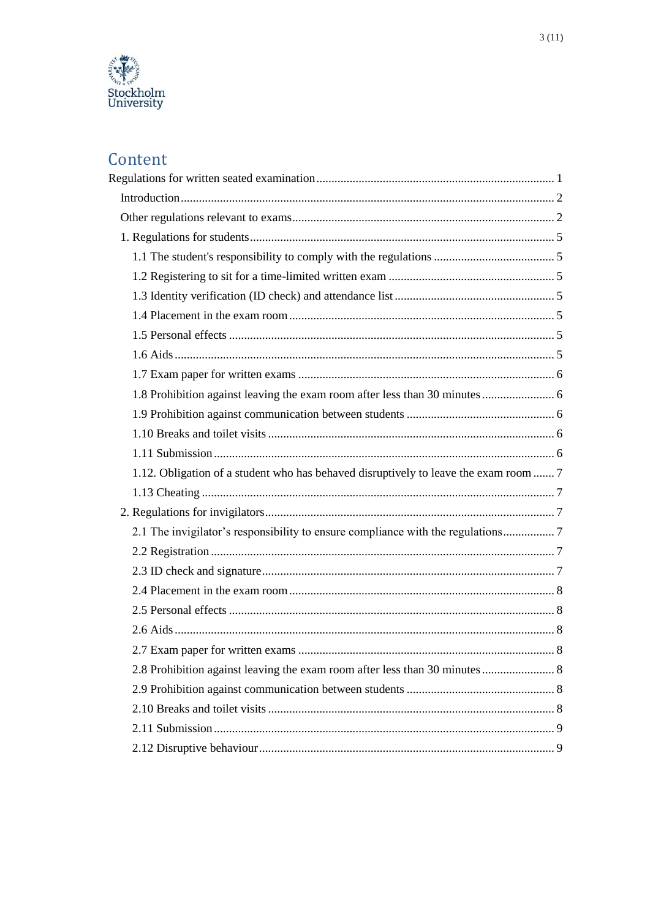

# Content

| 1.8 Prohibition against leaving the exam room after less than 30 minutes  6          |  |
|--------------------------------------------------------------------------------------|--|
|                                                                                      |  |
|                                                                                      |  |
|                                                                                      |  |
| 1.12. Obligation of a student who has behaved disruptively to leave the exam room  7 |  |
|                                                                                      |  |
|                                                                                      |  |
| 2.1 The invigilator's responsibility to ensure compliance with the regulations7      |  |
|                                                                                      |  |
|                                                                                      |  |
|                                                                                      |  |
|                                                                                      |  |
|                                                                                      |  |
|                                                                                      |  |
|                                                                                      |  |
|                                                                                      |  |
|                                                                                      |  |
|                                                                                      |  |
|                                                                                      |  |
|                                                                                      |  |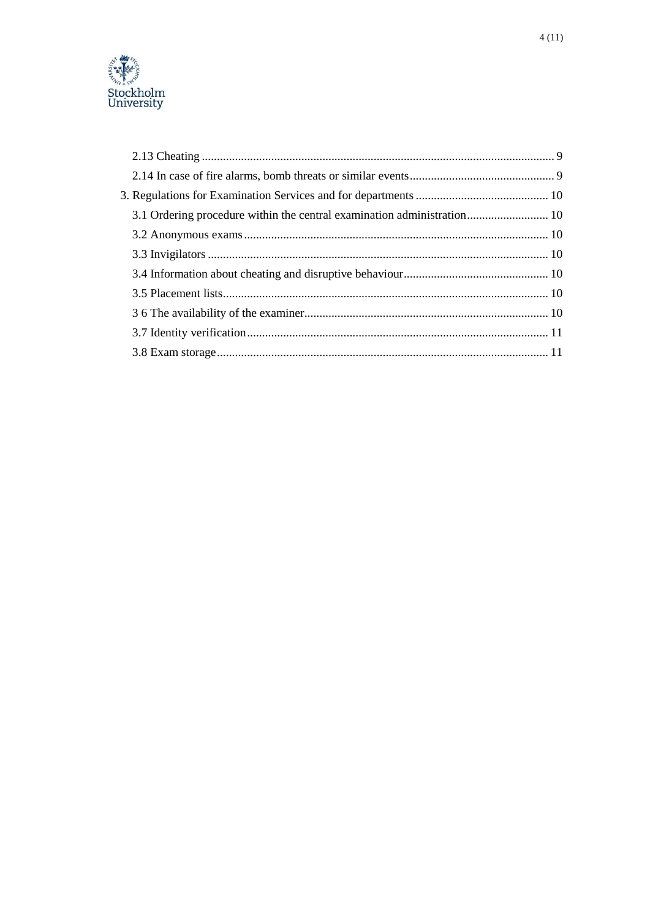

| 3.1 Ordering procedure within the central examination administration 10 |  |
|-------------------------------------------------------------------------|--|
|                                                                         |  |
|                                                                         |  |
|                                                                         |  |
|                                                                         |  |
|                                                                         |  |
|                                                                         |  |
|                                                                         |  |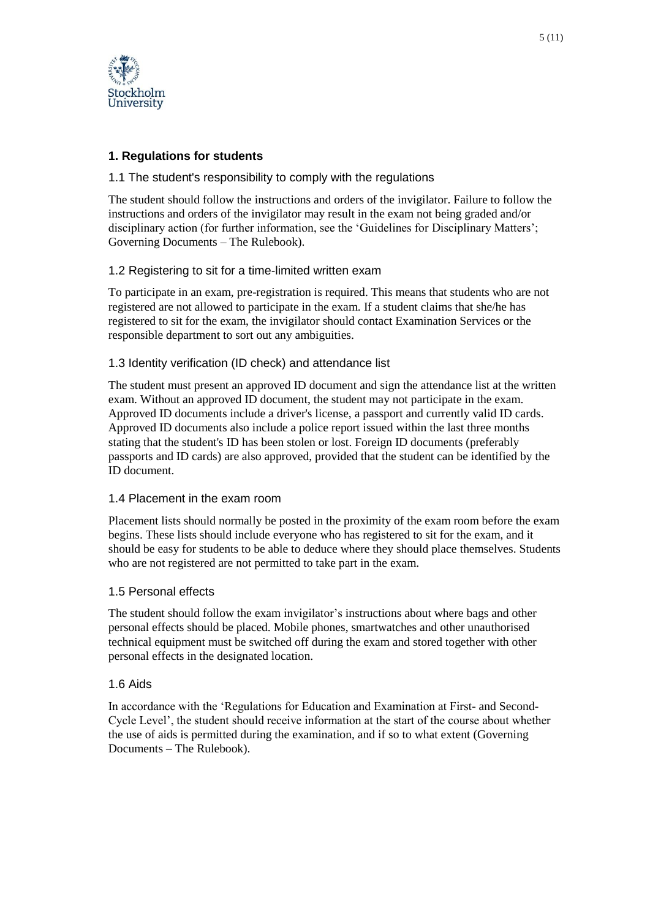

# <span id="page-4-0"></span>**1. Regulations for students**

## <span id="page-4-1"></span>1.1 The student's responsibility to comply with the regulations

The student should follow the instructions and orders of the invigilator. Failure to follow the instructions and orders of the invigilator may result in the exam not being graded and/or disciplinary action (for further information, see the 'Guidelines for Disciplinary Matters'; Governing Documents – The Rulebook).

# <span id="page-4-2"></span>1.2 Registering to sit for a time-limited written exam

To participate in an exam, pre-registration is required. This means that students who are not registered are not allowed to participate in the exam. If a student claims that she/he has registered to sit for the exam, the invigilator should contact Examination Services or the responsible department to sort out any ambiguities.

## <span id="page-4-3"></span>1.3 Identity verification (ID check) and attendance list

The student must present an approved ID document and sign the attendance list at the written exam. Without an approved ID document, the student may not participate in the exam. Approved ID documents include a driver's license, a passport and currently valid ID cards. Approved ID documents also include a police report issued within the last three months stating that the student's ID has been stolen or lost. Foreign ID documents (preferably passports and ID cards) are also approved, provided that the student can be identified by the ID document.

## <span id="page-4-4"></span>1.4 Placement in the exam room

Placement lists should normally be posted in the proximity of the exam room before the exam begins. These lists should include everyone who has registered to sit for the exam, and it should be easy for students to be able to deduce where they should place themselves. Students who are not registered are not permitted to take part in the exam.

## <span id="page-4-5"></span>1.5 Personal effects

The student should follow the exam invigilator's instructions about where bags and other personal effects should be placed. Mobile phones, smartwatches and other unauthorised technical equipment must be switched off during the exam and stored together with other personal effects in the designated location.

## <span id="page-4-6"></span>1.6 Aids

In accordance with the 'Regulations for Education and Examination at First- and Second-Cycle Level', the student should receive information at the start of the course about whether the use of aids is permitted during the examination, and if so to what extent (Governing Documents – The Rulebook).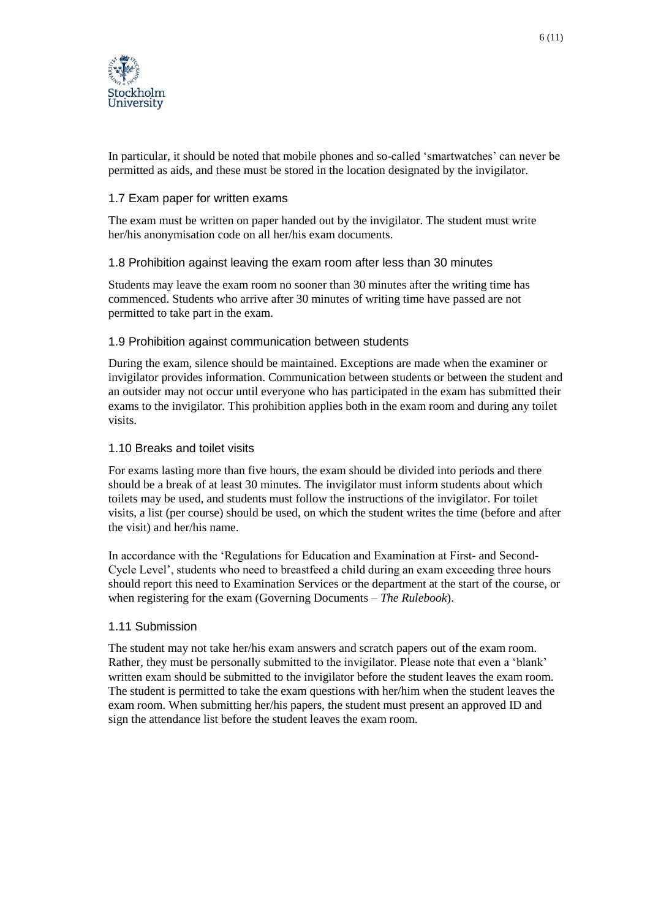

In particular, it should be noted that mobile phones and so-called 'smartwatches' can never be permitted as aids, and these must be stored in the location designated by the invigilator.

#### <span id="page-5-0"></span>1.7 Exam paper for written exams

The exam must be written on paper handed out by the invigilator. The student must write her/his anonymisation code on all her/his exam documents.

#### <span id="page-5-1"></span>1.8 Prohibition against leaving the exam room after less than 30 minutes

Students may leave the exam room no sooner than 30 minutes after the writing time has commenced. Students who arrive after 30 minutes of writing time have passed are not permitted to take part in the exam.

#### <span id="page-5-2"></span>1.9 Prohibition against communication between students

During the exam, silence should be maintained. Exceptions are made when the examiner or invigilator provides information. Communication between students or between the student and an outsider may not occur until everyone who has participated in the exam has submitted their exams to the invigilator. This prohibition applies both in the exam room and during any toilet visits.

#### <span id="page-5-3"></span>1.10 Breaks and toilet visits

For exams lasting more than five hours, the exam should be divided into periods and there should be a break of at least 30 minutes. The invigilator must inform students about which toilets may be used, and students must follow the instructions of the invigilator. For toilet visits, a list (per course) should be used, on which the student writes the time (before and after the visit) and her/his name.

In accordance with the 'Regulations for Education and Examination at First- and Second-Cycle Level', students who need to breastfeed a child during an exam exceeding three hours should report this need to Examination Services or the department at the start of the course, or when registering for the exam (Governing Documents – *The Rulebook*).

#### <span id="page-5-4"></span>1.11 Submission

The student may not take her/his exam answers and scratch papers out of the exam room. Rather, they must be personally submitted to the invigilator. Please note that even a 'blank' written exam should be submitted to the invigilator before the student leaves the exam room. The student is permitted to take the exam questions with her/him when the student leaves the exam room. When submitting her/his papers, the student must present an approved ID and sign the attendance list before the student leaves the exam room.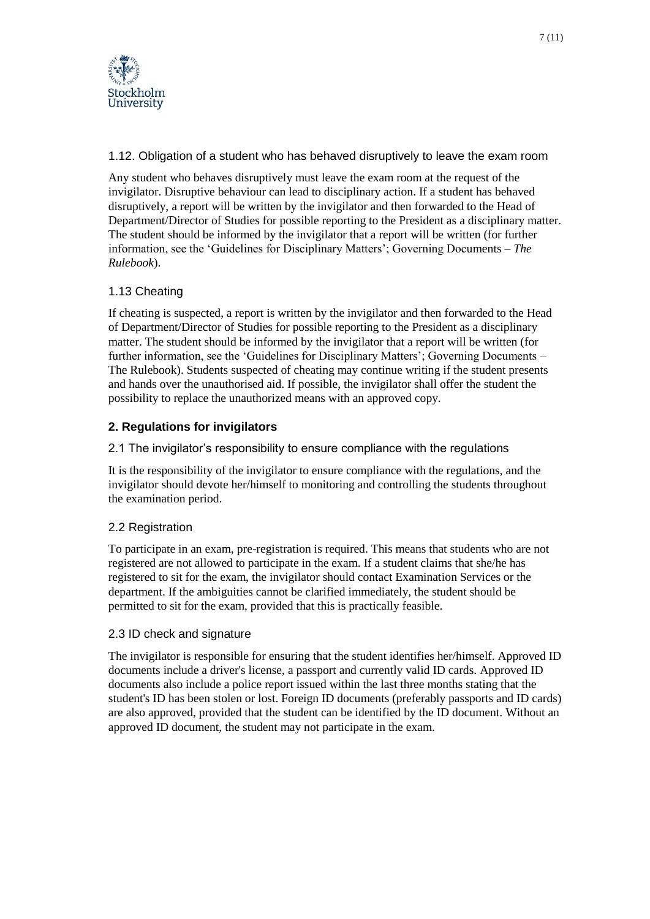

<span id="page-6-0"></span>1.12. Obligation of a student who has behaved disruptively to leave the exam room

Any student who behaves disruptively must leave the exam room at the request of the invigilator. Disruptive behaviour can lead to disciplinary action. If a student has behaved disruptively, a report will be written by the invigilator and then forwarded to the Head of Department/Director of Studies for possible reporting to the President as a disciplinary matter. The student should be informed by the invigilator that a report will be written (for further information, see the 'Guidelines for Disciplinary Matters'; Governing Documents – *The Rulebook*).

# <span id="page-6-1"></span>1.13 Cheating

If cheating is suspected, a report is written by the invigilator and then forwarded to the Head of Department/Director of Studies for possible reporting to the President as a disciplinary matter. The student should be informed by the invigilator that a report will be written (for further information, see the 'Guidelines for Disciplinary Matters'; Governing Documents – The Rulebook). Students suspected of cheating may continue writing if the student presents and hands over the unauthorised aid. If possible, the invigilator shall offer the student the possibility to replace the unauthorized means with an approved copy.

# <span id="page-6-2"></span>**2. Regulations for invigilators**

<span id="page-6-3"></span>2.1 The invigilator's responsibility to ensure compliance with the regulations

It is the responsibility of the invigilator to ensure compliance with the regulations, and the invigilator should devote her/himself to monitoring and controlling the students throughout the examination period.

# <span id="page-6-4"></span>2.2 Registration

To participate in an exam, pre-registration is required. This means that students who are not registered are not allowed to participate in the exam. If a student claims that she/he has registered to sit for the exam, the invigilator should contact Examination Services or the department. If the ambiguities cannot be clarified immediately, the student should be permitted to sit for the exam, provided that this is practically feasible.

# <span id="page-6-5"></span>2.3 ID check and signature

The invigilator is responsible for ensuring that the student identifies her/himself. Approved ID documents include a driver's license, a passport and currently valid ID cards. Approved ID documents also include a police report issued within the last three months stating that the student's ID has been stolen or lost. Foreign ID documents (preferably passports and ID cards) are also approved, provided that the student can be identified by the ID document. Without an approved ID document, the student may not participate in the exam.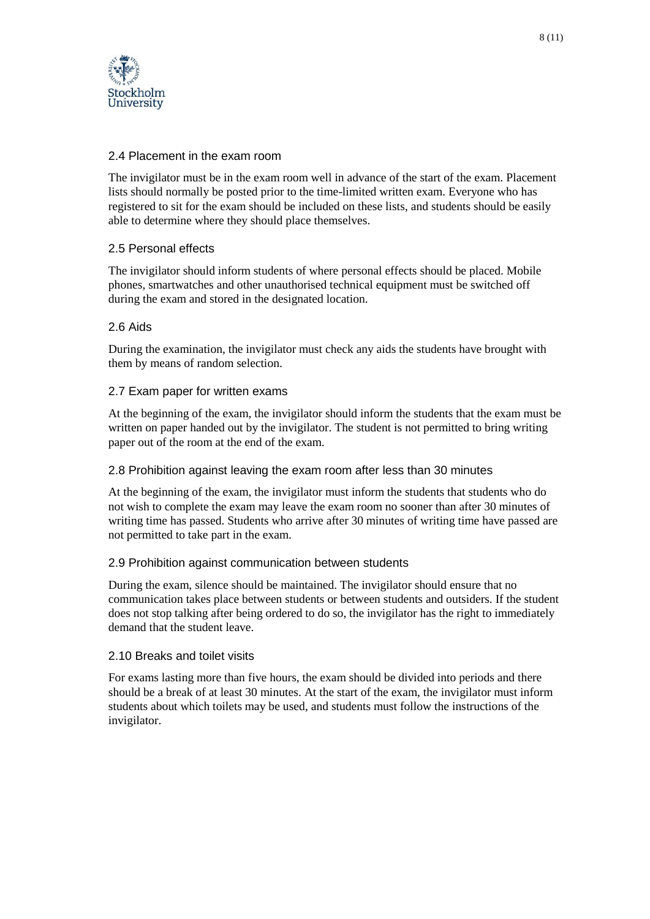

## <span id="page-7-0"></span>2.4 Placement in the exam room

The invigilator must be in the exam room well in advance of the start of the exam. Placement lists should normally be posted prior to the time-limited written exam. Everyone who has registered to sit for the exam should be included on these lists, and students should be easily able to determine where they should place themselves.

## <span id="page-7-1"></span>2.5 Personal effects

The invigilator should inform students of where personal effects should be placed. Mobile phones, smartwatches and other unauthorised technical equipment must be switched off during the exam and stored in the designated location.

## <span id="page-7-2"></span>2.6 Aids

During the examination, the invigilator must check any aids the students have brought with them by means of random selection.

#### <span id="page-7-3"></span>2.7 Exam paper for written exams

At the beginning of the exam, the invigilator should inform the students that the exam must be written on paper handed out by the invigilator. The student is not permitted to bring writing paper out of the room at the end of the exam.

#### <span id="page-7-4"></span>2.8 Prohibition against leaving the exam room after less than 30 minutes

At the beginning of the exam, the invigilator must inform the students that students who do not wish to complete the exam may leave the exam room no sooner than after 30 minutes of writing time has passed. Students who arrive after 30 minutes of writing time have passed are not permitted to take part in the exam.

## <span id="page-7-5"></span>2.9 Prohibition against communication between students

During the exam, silence should be maintained. The invigilator should ensure that no communication takes place between students or between students and outsiders. If the student does not stop talking after being ordered to do so, the invigilator has the right to immediately demand that the student leave.

#### <span id="page-7-6"></span>2.10 Breaks and toilet visits

For exams lasting more than five hours, the exam should be divided into periods and there should be a break of at least 30 minutes. At the start of the exam, the invigilator must inform students about which toilets may be used, and students must follow the instructions of the invigilator.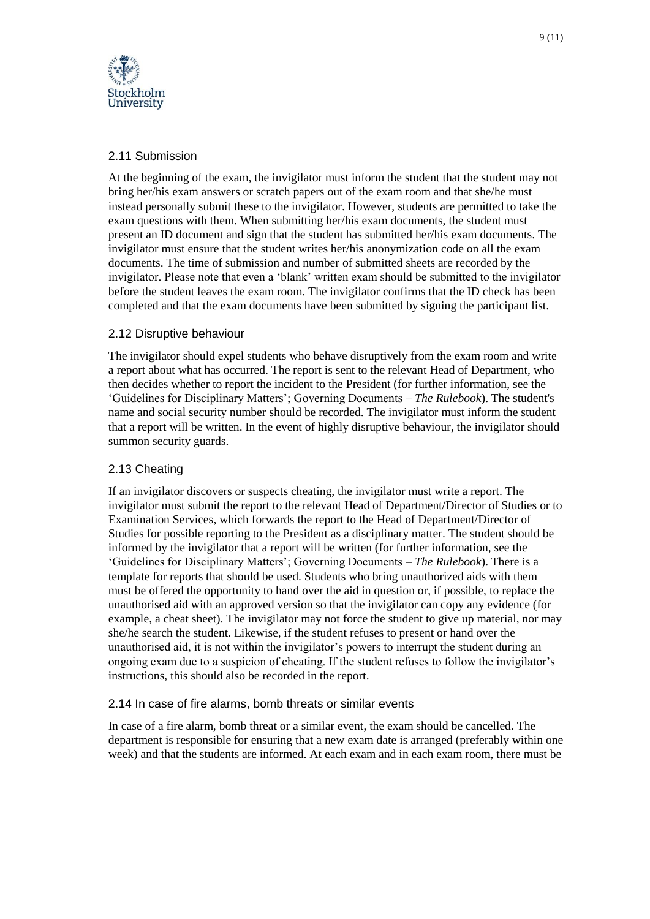

# <span id="page-8-0"></span>2.11 Submission

itockholm University

At the beginning of the exam, the invigilator must inform the student that the student may not bring her/his exam answers or scratch papers out of the exam room and that she/he must instead personally submit these to the invigilator. However, students are permitted to take the exam questions with them. When submitting her/his exam documents, the student must present an ID document and sign that the student has submitted her/his exam documents. The invigilator must ensure that the student writes her/his anonymization code on all the exam documents. The time of submission and number of submitted sheets are recorded by the invigilator. Please note that even a 'blank' written exam should be submitted to the invigilator before the student leaves the exam room. The invigilator confirms that the ID check has been completed and that the exam documents have been submitted by signing the participant list.

## <span id="page-8-1"></span>2.12 Disruptive behaviour

The invigilator should expel students who behave disruptively from the exam room and write a report about what has occurred. The report is sent to the relevant Head of Department, who then decides whether to report the incident to the President (for further information, see the 'Guidelines for Disciplinary Matters'; Governing Documents – *The Rulebook*). The student's name and social security number should be recorded. The invigilator must inform the student that a report will be written. In the event of highly disruptive behaviour, the invigilator should summon security guards.

## <span id="page-8-2"></span>2.13 Cheating

If an invigilator discovers or suspects cheating, the invigilator must write a report. The invigilator must submit the report to the relevant Head of Department/Director of Studies or to Examination Services, which forwards the report to the Head of Department/Director of Studies for possible reporting to the President as a disciplinary matter. The student should be informed by the invigilator that a report will be written (for further information, see the 'Guidelines for Disciplinary Matters'; Governing Documents – *The Rulebook*). There is a template for reports that should be used. Students who bring unauthorized aids with them must be offered the opportunity to hand over the aid in question or, if possible, to replace the unauthorised aid with an approved version so that the invigilator can copy any evidence (for example, a cheat sheet). The invigilator may not force the student to give up material, nor may she/he search the student. Likewise, if the student refuses to present or hand over the unauthorised aid, it is not within the invigilator's powers to interrupt the student during an ongoing exam due to a suspicion of cheating. If the student refuses to follow the invigilator's instructions, this should also be recorded in the report.

#### <span id="page-8-3"></span>2.14 In case of fire alarms, bomb threats or similar events

In case of a fire alarm, bomb threat or a similar event, the exam should be cancelled. The department is responsible for ensuring that a new exam date is arranged (preferably within one week) and that the students are informed. At each exam and in each exam room, there must be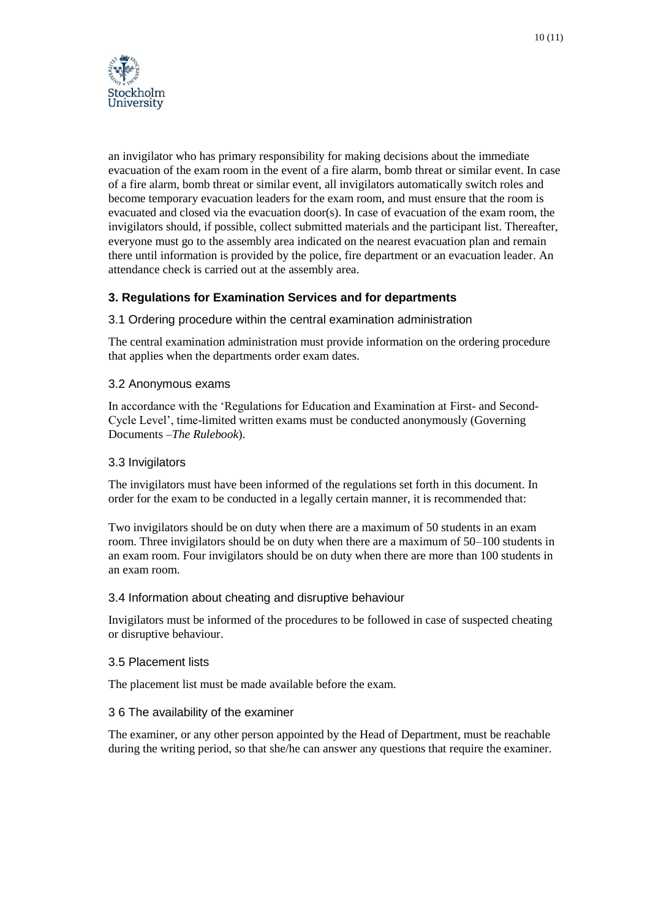

an invigilator who has primary responsibility for making decisions about the immediate evacuation of the exam room in the event of a fire alarm, bomb threat or similar event. In case of a fire alarm, bomb threat or similar event, all invigilators automatically switch roles and become temporary evacuation leaders for the exam room, and must ensure that the room is evacuated and closed via the evacuation door(s). In case of evacuation of the exam room, the invigilators should, if possible, collect submitted materials and the participant list. Thereafter, everyone must go to the assembly area indicated on the nearest evacuation plan and remain there until information is provided by the police, fire department or an evacuation leader. An attendance check is carried out at the assembly area.

# <span id="page-9-0"></span>**3. Regulations for Examination Services and for departments**

#### <span id="page-9-1"></span>3.1 Ordering procedure within the central examination administration

The central examination administration must provide information on the ordering procedure that applies when the departments order exam dates.

#### <span id="page-9-2"></span>3.2 Anonymous exams

In accordance with the 'Regulations for Education and Examination at First- and Second-Cycle Level', time-limited written exams must be conducted anonymously (Governing Documents –*The Rulebook*).

#### <span id="page-9-3"></span>3.3 Invigilators

The invigilators must have been informed of the regulations set forth in this document. In order for the exam to be conducted in a legally certain manner, it is recommended that:

Two invigilators should be on duty when there are a maximum of 50 students in an exam room. Three invigilators should be on duty when there are a maximum of 50–100 students in an exam room. Four invigilators should be on duty when there are more than 100 students in an exam room.

#### <span id="page-9-4"></span>3.4 Information about cheating and disruptive behaviour

Invigilators must be informed of the procedures to be followed in case of suspected cheating or disruptive behaviour.

#### <span id="page-9-5"></span>3.5 Placement lists

The placement list must be made available before the exam.

#### <span id="page-9-6"></span>3 6 The availability of the examiner

The examiner, or any other person appointed by the Head of Department, must be reachable during the writing period, so that she/he can answer any questions that require the examiner.